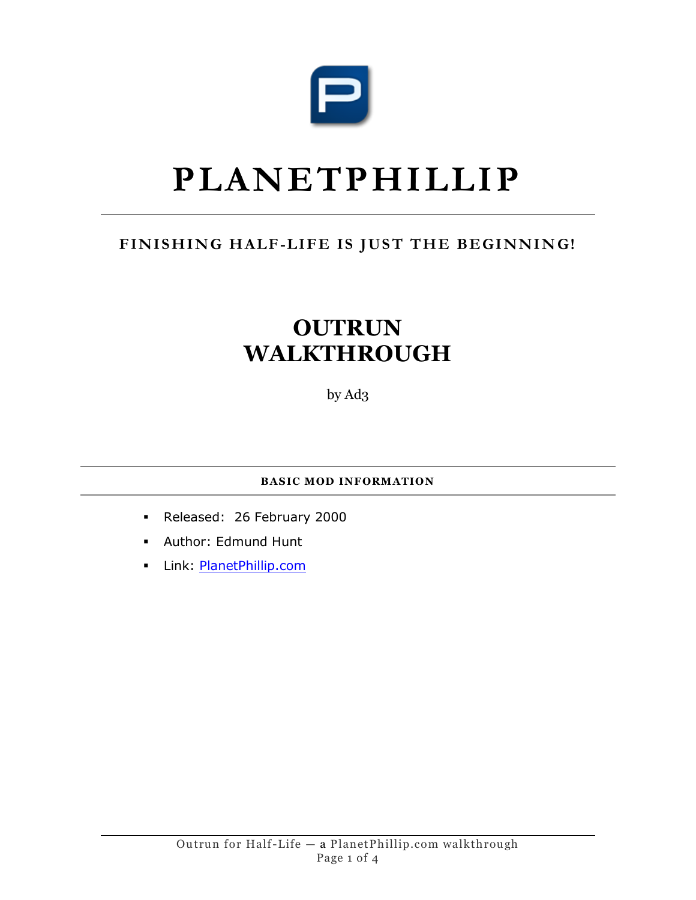

## **PLANETPHILLIP**

## FINISHING HALF-LIFE IS JUST THE BEGINNING!

## **OUTRUN WALKTHROUGH**

by Ad3

**BASIC MOD INFORMATION**

- Released: 26 February 2000
- Author: Edmund Hunt
- Link: **PlanetPhillip.com**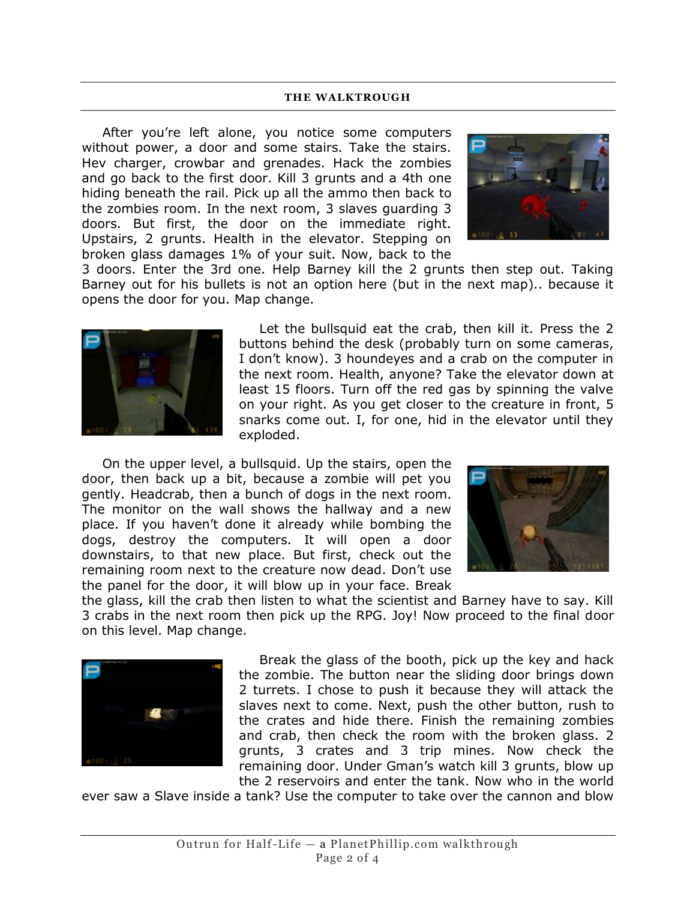## **THE WALKTROUGH**

After you're left alone, you notice some computers without power, a door and some stairs. Take the stairs. Hev charger, crowbar and grenades. Hack the zombies and go back to the first door. Kill 3 grunts and a 4th one hiding beneath the rail. Pick up all the ammo then back to the zombies room. In the next room, 3 slaves guarding 3 doors. But first, the door on the immediate right. Upstairs, 2 grunts. Health in the elevator. Stepping on broken glass damages 1% of your suit. Now, back to the



3 doors. Enter the 3rd one. Help Barney kill the 2 grunts then step out. Taking Barney out for his bullets is not an option here (but in the next map).. because it opens the door for you. Map change.



Let the bullsquid eat the crab, then kill it. Press the 2 buttons behind the desk (probably turn on some cameras, I don't know). 3 houndeyes and a crab on the computer in the next room. Health, anyone? Take the elevator down at least 15 floors. Turn off the red gas by spinning the valve on your right. As you get closer to the creature in front, 5 snarks come out. I, for one, hid in the elevator until they exploded.

On the upper level, a bullsquid. Up the stairs, open the door, then back up a bit, because a zombie will pet you gently. Headcrab, then a bunch of dogs in the next room. The monitor on the wall shows the hallway and a new place. If you haven't done it already while bombing the dogs, destroy the computers. It will open a door downstairs, to that new place. But first, check out the remaining room next to the creature now dead. Don't use the panel for the door, it will blow up in your face. Break



the glass, kill the crab then listen to what the scientist and Barney have to say. Kill 3 crabs in the next room then pick up the RPG. Joy! Now proceed to the final door on this level. Map change.



Break the glass of the booth, pick up the key and hack the zombie. The button near the sliding door brings down 2 turrets. I chose to push it because they will attack the slaves next to come. Next, push the other button, rush to the crates and hide there. Finish the remaining zombies and crab, then check the room with the broken glass. 2 grunts, 3 crates and 3 trip mines. Now check the remaining door. Under Gman's watch kill 3 grunts, blow up the 2 reservoirs and enter the tank. Now who in the world

ever saw a Slave inside a tank? Use the computer to take over the cannon and blow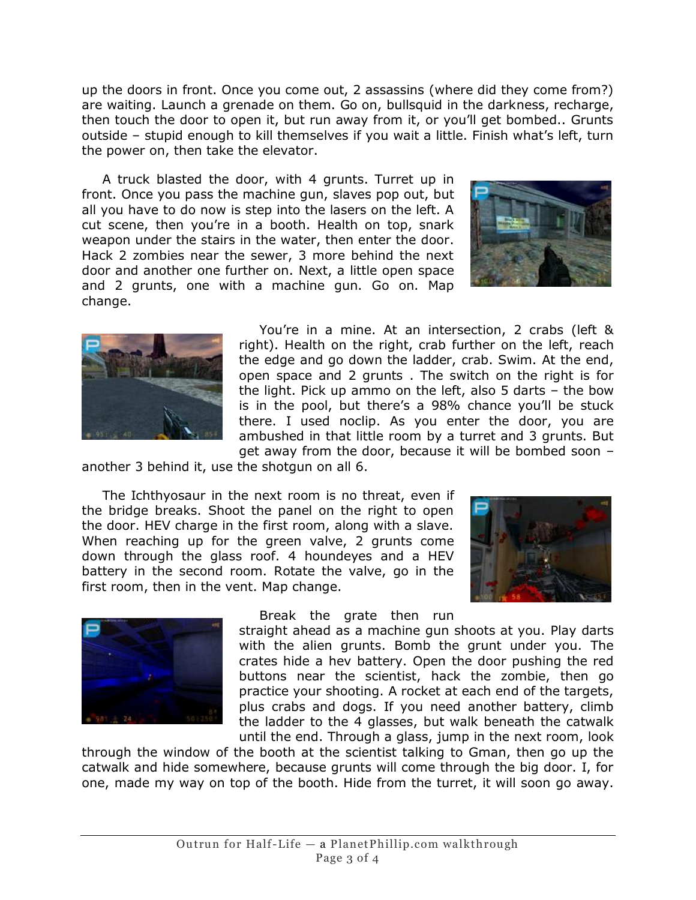up the doors in front. Once you come out, 2 assassins (where did they come from?) are waiting. Launch a grenade on them. Go on, bullsquid in the darkness, recharge, then touch the door to open it, but run away from it, or you'll get bombed.. Grunts outside – stupid enough to kill themselves if you wait a little. Finish what's left, turn the power on, then take the elevator.

A truck blasted the door, with 4 grunts. Turret up in front. Once you pass the machine gun, slaves pop out, but all you have to do now is step into the lasers on the left. A cut scene, then you're in a booth. Health on top, snark weapon under the stairs in the water, then enter the door. Hack 2 zombies near the sewer, 3 more behind the next door and another one further on. Next, a little open space and 2 grunts, one with a machine gun. Go on. Map change.





You're in a mine. At an intersection, 2 crabs (left & right). Health on the right, crab further on the left, reach the edge and go down the ladder, crab. Swim. At the end, open space and 2 grunts . The switch on the right is for the light. Pick up ammo on the left, also 5 darts – the bow is in the pool, but there's a 98% chance you'll be stuck there. I used noclip. As you enter the door, you are ambushed in that little room by a turret and 3 grunts. But get away from the door, because it will be bombed soon –

another 3 behind it, use the shotgun on all 6.

The Ichthyosaur in the next room is no threat, even if the bridge breaks. Shoot the panel on the right to open the door. HEV charge in the first room, along with a slave. When reaching up for the green valve, 2 grunts come down through the glass roof. 4 houndeyes and a HEV battery in the second room. Rotate the valve, go in the first room, then in the vent. Map change.





Break the grate then run

straight ahead as a machine gun shoots at you. Play darts with the alien grunts. Bomb the grunt under you. The crates hide a hev battery. Open the door pushing the red buttons near the scientist, hack the zombie, then go practice your shooting. A rocket at each end of the targets, plus crabs and dogs. If you need another battery, climb the ladder to the 4 glasses, but walk beneath the catwalk until the end. Through a glass, jump in the next room, look

through the window of the booth at the scientist talking to Gman, then go up the catwalk and hide somewhere, because grunts will come through the big door. I, for one, made my way on top of the booth. Hide from the turret, it will soon go away.